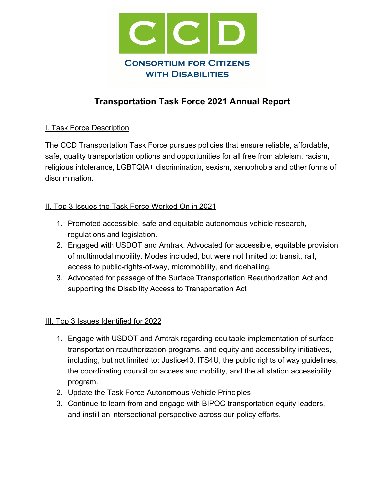

# **Transportation Task Force 2021 Annual Report**

#### I. Task Force Description

The CCD Transportation Task Force pursues policies that ensure reliable, affordable, safe, quality transportation options and opportunities for all free from ableism, racism, religious intolerance, LGBTQIA+ discrimination, sexism, xenophobia and other forms of discrimination.

#### II. Top 3 Issues the Task Force Worked On in 2021

- 1. Promoted accessible, safe and equitable autonomous vehicle research, regulations and legislation.
- 2. Engaged with USDOT and Amtrak. Advocated for accessible, equitable provision of multimodal mobility. Modes included, but were not limited to: transit, rail, access to public-rights-of-way, micromobility, and ridehailing.
- 3. Advocated for passage of the Surface Transportation Reauthorization Act and supporting the Disability Access to Transportation Act

## III. Top 3 Issues Identified for 2022

- 1. Engage with USDOT and Amtrak regarding equitable implementation of surface transportation reauthorization programs, and equity and accessibility initiatives, including, but not limited to: Justice40, ITS4U, the public rights of way guidelines, the coordinating council on access and mobility, and the all station accessibility program.
- 2. Update the Task Force Autonomous Vehicle Principles
- 3. Continue to learn from and engage with BIPOC transportation equity leaders, and instill an intersectional perspective across our policy efforts.